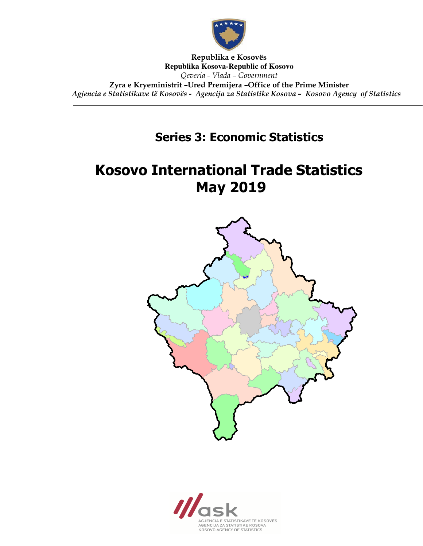

Republika e Kosovës **Republika Kosova-Republic of Kosovo** Qeveria - Vlada – Government Zyra e Kryeministrit –Ured Premijera –Office of the Prime Minister Agjencia e Statistikave të Kosovës - Agencija za Statistike Kosova – Kosovo Agency of Statistics

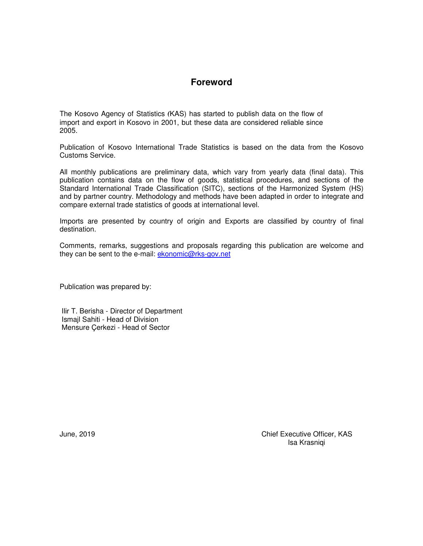## **Foreword**

The Kosovo Agency of Statistics (KAS) has started to publish data on the flow of import and export in Kosovo in 2001, but these data are considered reliable since 2005.

Publication of Kosovo International Trade Statistics is based on the data from the Kosovo Customs Service.

All monthly publications are preliminary data, which vary from yearly data (final data). This publication contains data on the flow of goods, statistical procedures, and sections of the Standard International Trade Classification (SITC), sections of the Harmonized System (HS) and by partner country. Methodology and methods have been adapted in order to integrate and compare external trade statistics of goods at international level.

Imports are presented by country of origin and Exports are classified by country of final destination.

Comments, remarks, suggestions and proposals regarding this publication are welcome and they can be sent to the e-mail: ekonomic@rks-gov.net

Publication was prepared by:

 Ilir T. Berisha - Director of Department Ismajl Sahiti - Head of Division Mensure Çerkezi - Head of Sector

June, 2019 Chief Executive Officer, KAS Isa Krasniqi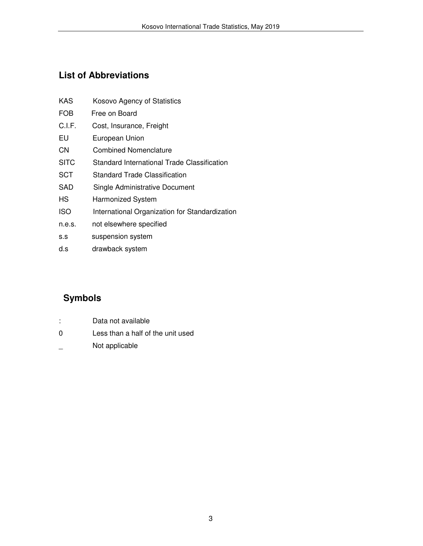## **List of Abbreviations**

| <b>KAS</b>  | Kosovo Agency of Statistics                    |
|-------------|------------------------------------------------|
| FOB         | Free on Board                                  |
| C.I.F.      | Cost, Insurance, Freight                       |
| EU          | European Union                                 |
| CN          | Combined Nomenclature                          |
| <b>SITC</b> | Standard International Trade Classification    |
| <b>SCT</b>  | Standard Trade Classification                  |
| SAD         | Single Administrative Document                 |
| НS          | <b>Harmonized System</b>                       |
| <b>ISO</b>  | International Organization for Standardization |
| n.e.s.      | not elsewhere specified                        |
| S.S         | suspension system                              |
|             |                                                |

d.s drawback system

# **Symbols**

- : Data not available
- 0 Less than a half of the unit used
- \_ Not applicable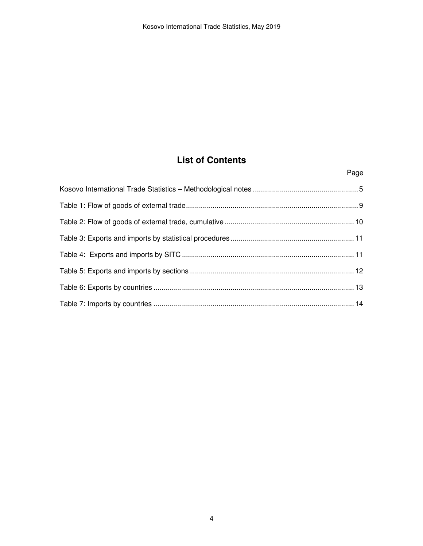## **List of Contents**

Page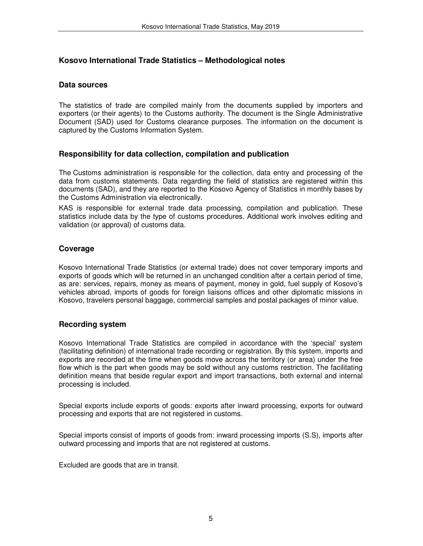## **Kosovo International Trade Statistics – Methodological notes**

#### **Data sources**

The statistics of trade are compiled mainly from the documents supplied by importers and exporters (or their agents) to the Customs authority. The document is the Single Administrative Document (SAD) used for Customs clearance purposes. The information on the document is captured by the Customs Information System.

## **Responsibility for data collection, compilation and publication**

The Customs administration is responsible for the collection, data entry and processing of the data from customs statements. Data regarding the field of statistics are registered within this documents (SAD), and they are reported to the Kosovo Agency of Statistics in monthly bases by the Customs Administration via electronically.

KAS is responsible for external trade data processing, compilation and publication. These statistics include data by the type of customs procedures. Additional work involves editing and validation (or approval) of customs data.

## **Coverage**

Kosovo International Trade Statistics (or external trade) does not cover temporary imports and exports of goods which will be returned in an unchanged condition after a certain period of time, as are: services, repairs, money as means of payment, money in gold, fuel supply of Kosovo's vehicles abroad, imports of goods for foreign liaisons offices and other diplomatic missions in Kosovo, travelers personal baggage, commercial samples and postal packages of minor value.

### **Recording system**

Kosovo International Trade Statistics are compiled in accordance with the 'special' system (facilitating definition) of international trade recording or registration. By this system, imports and exports are recorded at the time when goods move across the territory (or area) under the free flow which is the part when goods may be sold without any customs restriction. The facilitating definition means that beside regular export and import transactions, both external and internal processing is included.

Special exports include exports of goods: exports after inward processing, exports for outward processing and exports that are not registered in customs.

Special imports consist of imports of goods from: inward processing imports (S.S), imports after outward processing and imports that are not registered at customs.

Excluded are goods that are in transit.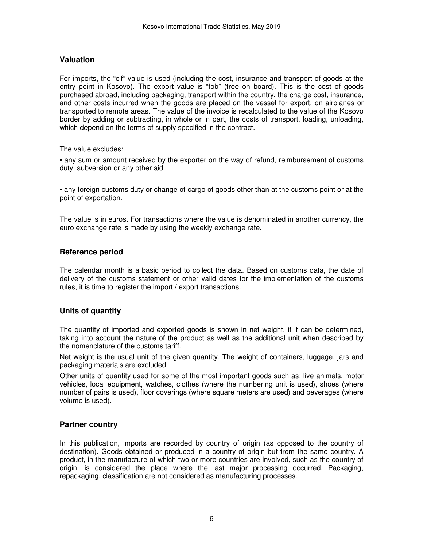## **Valuation**

For imports, the "cif" value is used (including the cost, insurance and transport of goods at the entry point in Kosovo). The export value is "fob" (free on board). This is the cost of goods purchased abroad, including packaging, transport within the country, the charge cost, insurance, and other costs incurred when the goods are placed on the vessel for export, on airplanes or transported to remote areas. The value of the invoice is recalculated to the value of the Kosovo border by adding or subtracting, in whole or in part, the costs of transport, loading, unloading, which depend on the terms of supply specified in the contract.

The value excludes:

• any sum or amount received by the exporter on the way of refund, reimbursement of customs duty, subversion or any other aid.

• any foreign customs duty or change of cargo of goods other than at the customs point or at the point of exportation.

The value is in euros. For transactions where the value is denominated in another currency, the euro exchange rate is made by using the weekly exchange rate.

## **Reference period**

The calendar month is a basic period to collect the data. Based on customs data, the date of delivery of the customs statement or other valid dates for the implementation of the customs rules, it is time to register the import / export transactions.

## **Units of quantity**

The quantity of imported and exported goods is shown in net weight, if it can be determined, taking into account the nature of the product as well as the additional unit when described by the nomenclature of the customs tariff.

Net weight is the usual unit of the given quantity. The weight of containers, luggage, jars and packaging materials are excluded.

Other units of quantity used for some of the most important goods such as: live animals, motor vehicles, local equipment, watches, clothes (where the numbering unit is used), shoes (where number of pairs is used), floor coverings (where square meters are used) and beverages (where volume is used).

## **Partner country**

In this publication, imports are recorded by country of origin (as opposed to the country of destination). Goods obtained or produced in a country of origin but from the same country. A product, in the manufacture of which two or more countries are involved, such as the country of origin, is considered the place where the last major processing occurred. Packaging, repackaging, classification are not considered as manufacturing processes.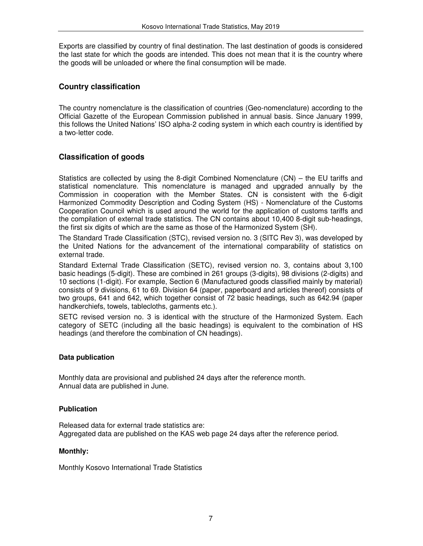Exports are classified by country of final destination. The last destination of goods is considered the last state for which the goods are intended. This does not mean that it is the country where the goods will be unloaded or where the final consumption will be made.

### **Country classification**

The country nomenclature is the classification of countries (Geo-nomenclature) according to the Official Gazette of the European Commission published in annual basis. Since January 1999, this follows the United Nations' ISO alpha-2 coding system in which each country is identified by a two-letter code.

## **Classification of goods**

Statistics are collected by using the 8-digit Combined Nomenclature (CN) – the EU tariffs and statistical nomenclature. This nomenclature is managed and upgraded annually by the Commission in cooperation with the Member States. CN is consistent with the 6-digit Harmonized Commodity Description and Coding System (HS) - Nomenclature of the Customs Cooperation Council which is used around the world for the application of customs tariffs and the compilation of external trade statistics. The CN contains about 10,400 8-digit sub-headings, the first six digits of which are the same as those of the Harmonized System (SH).

The Standard Trade Classification (STC), revised version no. 3 (SITC Rev 3), was developed by the United Nations for the advancement of the international comparability of statistics on external trade.

Standard External Trade Classification (SETC), revised version no. 3, contains about 3,100 basic headings (5-digit). These are combined in 261 groups (3-digits), 98 divisions (2-digits) and 10 sections (1-digit). For example, Section 6 (Manufactured goods classified mainly by material) consists of 9 divisions, 61 to 69. Division 64 (paper, paperboard and articles thereof) consists of two groups, 641 and 642, which together consist of 72 basic headings, such as 642.94 (paper handkerchiefs, towels, tablecloths, garments etc.).

SETC revised version no. 3 is identical with the structure of the Harmonized System. Each category of SETC (including all the basic headings) is equivalent to the combination of HS headings (and therefore the combination of CN headings).

#### **Data publication**

Monthly data are provisional and published 24 days after the reference month. Annual data are published in June.

#### **Publication**

Released data for external trade statistics are: Aggregated data are published on the KAS web page 24 days after the reference period.

#### **Monthly:**

Monthly Kosovo International Trade Statistics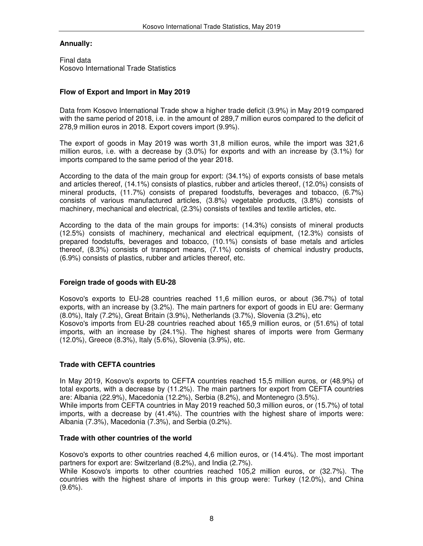#### **Annually:**

Final data Kosovo International Trade Statistics

#### **Flow of Export and Import in May 2019**

Data from Kosovo International Trade show a higher trade deficit (3.9%) in May 2019 compared with the same period of 2018, i.e. in the amount of 289,7 million euros compared to the deficit of 278,9 million euros in 2018. Export covers import (9.9%).

The export of goods in May 2019 was worth 31,8 million euros, while the import was 321,6 million euros, i.e. with a decrease by (3.0%) for exports and with an increase by (3.1%) for imports compared to the same period of the year 2018.

According to the data of the main group for export: (34.1%) of exports consists of base metals and articles thereof, (14.1%) consists of plastics, rubber and articles thereof, (12.0%) consists of mineral products, (11.7%) consists of prepared foodstuffs, beverages and tobacco, (6.7%) consists of various manufactured articles, (3.8%) vegetable products, (3.8%) consists of machinery, mechanical and electrical, (2.3%) consists of textiles and textile articles, etc.

According to the data of the main groups for imports: (14.3%) consists of mineral products (12.5%) consists of machinery, mechanical and electrical equipment, (12.3%) consists of prepared foodstuffs, beverages and tobacco, (10.1%) consists of base metals and articles thereof, (8.3%) consists of transport means, (7.1%) consists of chemical industry products, (6.9%) consists of plastics, rubber and articles thereof, etc.

## **Foreign trade of goods with EU-28**

Kosovo's exports to EU-28 countries reached 11,6 million euros, or about (36.7%) of total exports, with an increase by (3.2%). The main partners for export of goods in EU are: Germany (8.0%), Italy (7.2%), Great Britain (3.9%), Netherlands (3.7%), Slovenia (3.2%), etc Kosovo's imports from EU-28 countries reached about 165,9 million euros, or (51.6%) of total

imports, with an increase by (24.1%). The highest shares of imports were from Germany (12.0%), Greece (8.3%), Italy (5.6%), Slovenia (3.9%), etc.

## **Trade with CEFTA countries**

In May 2019, Kosovo's exports to CEFTA countries reached 15,5 million euros, or (48.9%) of total exports, with a decrease by (11.2%). The main partners for export from CEFTA countries are: Albania (22.9%), Macedonia (12.2%), Serbia (8.2%), and Montenegro (3.5%). While imports from CEFTA countries in May 2019 reached 50,3 million euros, or (15.7%) of total imports, with a decrease by (41.4%). The countries with the highest share of imports were:

#### **Trade with other countries of the world**

Albania (7.3%), Macedonia (7.3%), and Serbia (0.2%).

Kosovo's exports to other countries reached 4,6 million euros, or (14.4%). The most important partners for export are: Switzerland (8.2%), and India (2.7%).

While Kosovo's imports to other countries reached 105,2 million euros, or (32.7%). The countries with the highest share of imports in this group were: Turkey (12.0%), and China  $(9.6\%)$ .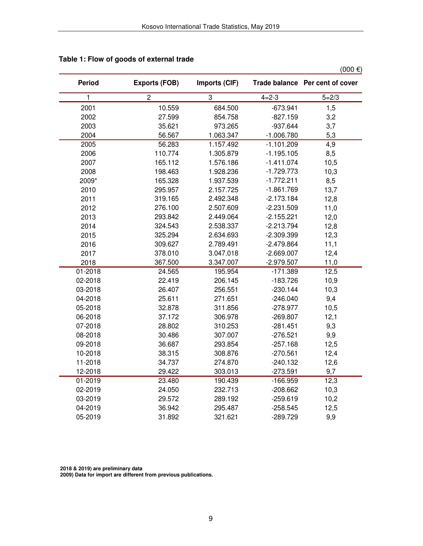|         |                      |               |              | $(000 \in )$                    |
|---------|----------------------|---------------|--------------|---------------------------------|
| Period  | <b>Exports (FOB)</b> | Imports (CIF) |              | Trade balance Per cent of cover |
| 1       | $\overline{c}$       | 3             | $4 = 2 - 3$  | $5 = 2/3$                       |
| 2001    | 10.559               | 684.500       | $-673.941$   | 1,5                             |
| 2002    | 27.599               | 854.758       | $-827.159$   | 3,2                             |
| 2003    | 35.621               | 973.265       | $-937.644$   | 3,7                             |
| 2004    | 56.567               | 1.063.347     | $-1.006.780$ | 5,3                             |
| 2005    | 56.283               | 1.157.492     | $-1.101.209$ | 4,9                             |
| 2006    | 110.774              | 1.305.879     | $-1.195.105$ | 8,5                             |
| 2007    | 165.112              | 1.576.186     | $-1.411.074$ | 10,5                            |
| 2008    | 198.463              | 1.928.236     | $-1.729.773$ | 10,3                            |
| 2009*   | 165.328              | 1.937.539     | $-1.772.211$ | 8,5                             |
| 2010    | 295.957              | 2.157.725     | $-1.861.769$ | 13,7                            |
| 2011    | 319.165              | 2.492.348     | $-2.173.184$ | 12,8                            |
| 2012    | 276.100              | 2.507.609     | $-2.231.509$ | 11,0                            |
| 2013    | 293.842              | 2.449.064     | $-2.155.221$ | 12,0                            |
| 2014    | 324.543              | 2.538.337     | $-2.213.794$ | 12,8                            |
| 2015    | 325.294              | 2.634.693     | $-2.309.399$ | 12,3                            |
| 2016    | 309.627              | 2.789.491     | $-2.479.864$ | 11,1                            |
| 2017    | 378.010              | 3.047.018     | $-2.669.007$ | 12,4                            |
| 2018    | 367.500              | 3.347.007     | $-2.979.507$ | 11,0                            |
| 01-2018 | 24.565               | 195.954       | $-171.389$   | 12,5                            |
| 02-2018 | 22.419               | 206.145       | $-183.726$   | 10,9                            |
| 03-2018 | 26.407               | 256.551       | $-230.144$   | 10,3                            |
| 04-2018 | 25.611               | 271.651       | $-246.040$   | 9,4                             |
| 05-2018 | 32.878               | 311.856       | $-278.977$   | 10,5                            |
| 06-2018 | 37.172               | 306.978       | $-269.807$   | 12,1                            |
| 07-2018 | 28.802               | 310.253       | $-281.451$   | 9,3                             |
| 08-2018 | 30.486               | 307.007       | $-276.521$   | 9,9                             |
| 09-2018 | 36.687               | 293.854       | $-257.168$   | 12,5                            |
| 10-2018 | 38.315               | 308.876       | $-270.561$   | 12,4                            |
| 11-2018 | 34.737               | 274.870       | $-240.132$   | 12,6                            |
| 12-2018 | 29.422               | 303.013       | $-273.591$   | 9,7                             |
| 01-2019 | 23.480               | 190.439       | $-166.959$   | 12,3                            |
| 02-2019 | 24.050               | 232.713       | $-208.662$   | 10,3                            |
| 03-2019 | 29.572               | 289.192       | $-259.619$   | 10,2                            |
| 04-2019 | 36.942               | 295.487       | $-258.545$   | 12,5                            |
| 05-2019 | 31.892               | 321.621       | -289.729     | 9,9                             |

## **Table 1: Flow of goods of external trade**

 **2018 & 2019) are preliminary data** 

 **2009) Data for import are different from previous publications.**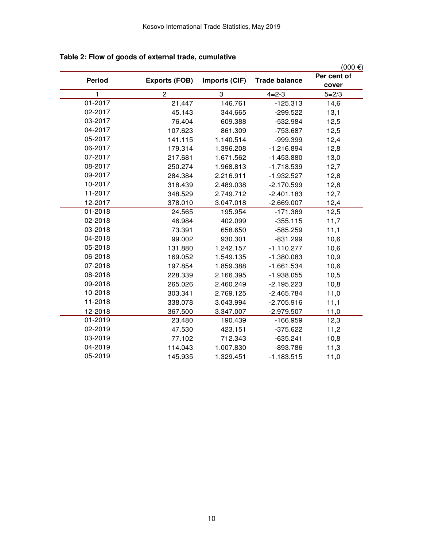|               |                      |               |                      | $(000)$ €)  |
|---------------|----------------------|---------------|----------------------|-------------|
| <b>Period</b> | <b>Exports (FOB)</b> | Imports (CIF) | <b>Trade balance</b> | Per cent of |
|               |                      |               |                      | cover       |
| 1             | $\overline{c}$       | 3             | $4 = 2 - 3$          | $5 = 2/3$   |
| 01-2017       | 21.447               | 146.761       | $-125.313$           | 14,6        |
| 02-2017       | 45.143               | 344.665       | $-299.522$           | 13,1        |
| 03-2017       | 76.404               | 609.388       | $-532.984$           | 12,5        |
| 04-2017       | 107.623              | 861.309       | $-753.687$           | 12,5        |
| 05-2017       | 141.115              | 1.140.514     | -999.399             | 12,4        |
| 06-2017       | 179.314              | 1.396.208     | $-1.216.894$         | 12,8        |
| 07-2017       | 217.681              | 1.671.562     | $-1.453.880$         | 13,0        |
| 08-2017       | 250.274              | 1.968.813     | $-1.718.539$         | 12,7        |
| 09-2017       | 284.384              | 2.216.911     | $-1.932.527$         | 12,8        |
| 10-2017       | 318.439              | 2.489.038     | $-2.170.599$         | 12,8        |
| 11-2017       | 348.529              | 2.749.712     | $-2.401.183$         | 12,7        |
| 12-2017       | 378.010              | 3.047.018     | $-2.669.007$         | 12,4        |
| 01-2018       | 24.565               | 195.954       | $-171.389$           | 12,5        |
| 02-2018       | 46.984               | 402.099       | $-355.115$           | 11,7        |
| 03-2018       | 73.391               | 658.650       | $-585.259$           | 11,1        |
| 04-2018       | 99.002               | 930.301       | $-831.299$           | 10,6        |
| 05-2018       | 131.880              | 1.242.157     | $-1.110.277$         | 10,6        |
| 06-2018       | 169.052              | 1.549.135     | $-1.380.083$         | 10,9        |
| 07-2018       | 197.854              | 1.859.388     | $-1.661.534$         | 10,6        |
| 08-2018       | 228.339              | 2.166.395     | $-1.938.055$         | 10,5        |
| 09-2018       | 265.026              | 2.460.249     | $-2.195.223$         | 10,8        |
| 10-2018       | 303.341              | 2.769.125     | $-2.465.784$         | 11,0        |
| 11-2018       | 338.078              | 3.043.994     | $-2.705.916$         | 11,1        |
| 12-2018       | 367.500              | 3.347.007     | $-2.979.507$         | 11,0        |
| 01-2019       | 23.480               | 190.439       | $-166.959$           | 12,3        |
| 02-2019       | 47.530               | 423.151       | $-375.622$           | 11,2        |
| 03-2019       | 77.102               | 712.343       | $-635.241$           | 10,8        |
| 04-2019       | 114.043              | 1.007.830     | $-893.786$           | 11,3        |
| 05-2019       | 145.935              | 1.329.451     | $-1.183.515$         | 11,0        |

## **Table 2: Flow of goods of external trade, cumulative**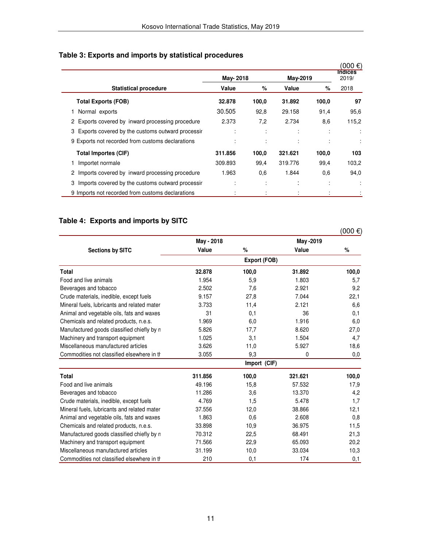|                                                       | May-2018     |       | May-2019 |                | (000 €)<br><b>Indices</b><br>2019/ |
|-------------------------------------------------------|--------------|-------|----------|----------------|------------------------------------|
| <b>Statistical procedure</b>                          | Value        | %     | Value    | %              | 2018                               |
| <b>Total Exports (FOB)</b>                            | 32,878       | 100,0 | 31.892   | 100.0          | 97                                 |
| Normal exports                                        | 30.505       | 92,8  | 29.158   | 91,4           | 95,6                               |
| 2 Exports covered by inward processing procedure      | 2.373        | 7,2   | 2.734    | 8,6            | 115,2                              |
| 3 Exports covered by the customs outward processir    |              | ٠     |          | ٠              |                                    |
| 9 Exports not recorded from customs declarations      |              |       |          | ÷              |                                    |
| <b>Total Importes (CIF)</b>                           | 311.856      | 100,0 | 321.621  | 100.0          | 103                                |
| Importet normale                                      | 309.893      | 99,4  | 319.776  | 99,4           | 103,2                              |
| 2 Imports covered by inward processing procedure      | 1.963        | 0,6   | 1.844    | 0,6            | 94,0                               |
| Imports covered by the customs outward processir<br>3 | ٠<br>$\cdot$ | ٠     |          | ٠<br>$\lambda$ |                                    |
| 9 Imports not recorded from customs declarations      |              |       |          |                |                                    |

## **Table 4: Exports and imports by SITC**

|                                             |            |              |           | $(000)$ €) |
|---------------------------------------------|------------|--------------|-----------|------------|
|                                             | May - 2018 |              | May -2019 |            |
| <b>Sections by SITC</b>                     | Value      | $\%$         | Value     | %          |
|                                             |            | Export (FOB) |           |            |
| <b>Total</b>                                | 32,878     | 100,0        | 31.892    | 100,0      |
| Food and live animals                       | 1.954      | 5,9          | 1.803     | 5,7        |
| Beverages and tobacco                       | 2.502      | 7,6          | 2.921     | 9,2        |
| Crude materials, inedible, except fuels     | 9.157      | 27,8         | 7.044     | 22,1       |
| Mineral fuels, lubricants and related mater | 3.733      | 11,4         | 2.121     | 6,6        |
| Animal and vegetable oils, fats and waxes   | 31         | 0,1          | 36        | 0,1        |
| Chemicals and related products, n.e.s.      | 1.969      | 6,0          | 1.916     | 6,0        |
| Manufactured goods classified chiefly by n  | 5.826      | 17,7         | 8.620     | 27,0       |
| Machinery and transport equipment           | 1.025      | 3,1          | 1.504     | 4,7        |
| Miscellaneous manufactured articles         | 3.626      | 11,0         | 5.927     | 18,6       |
| Commodities not classified elsewhere in the | 3.055      | 9,3          | 0         | 0,0        |
|                                             |            | Import (CIF) |           |            |
| <b>Total</b>                                | 311.856    | 100,0        | 321.621   | 100,0      |
| Food and live animals                       | 49.196     | 15,8         | 57.532    | 17,9       |
| Beverages and tobacco                       | 11.286     | 3,6          | 13.370    | 4,2        |
| Crude materials, inedible, except fuels     | 4.769      | 1,5          | 5.478     | 1,7        |
| Mineral fuels, lubricants and related mater | 37.556     | 12,0         | 38.866    | 12,1       |
| Animal and vegetable oils, fats and waxes   | 1.863      | 0,6          | 2.608     | 0,8        |
| Chemicals and related products, n.e.s.      | 33.898     | 10,9         | 36.975    | 11,5       |
| Manufactured goods classified chiefly by n  | 70.312     | 22,5         | 68.491    | 21,3       |
| Machinery and transport equipment           | 71.566     | 22,9         | 65.093    | 20,2       |
| Miscellaneous manufactured articles         | 31.199     | 10,0         | 33.034    | 10,3       |
| Commodities not classified elsewhere in the | 210        | 0,1          | 174       | 0,1        |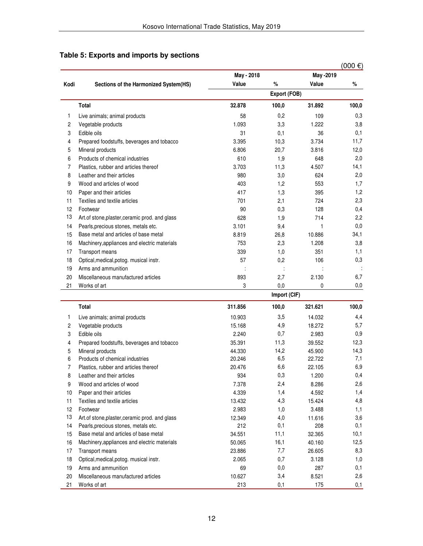|                |                                                 |            |              |                                                                                                                                                                                                                                                                                                                                                                             | $(000 \in )$ |
|----------------|-------------------------------------------------|------------|--------------|-----------------------------------------------------------------------------------------------------------------------------------------------------------------------------------------------------------------------------------------------------------------------------------------------------------------------------------------------------------------------------|--------------|
|                |                                                 | May - 2018 |              |                                                                                                                                                                                                                                                                                                                                                                             |              |
| Kodi           | Sections of the Harmonized System(HS)           | Value      | %            | Value                                                                                                                                                                                                                                                                                                                                                                       | %            |
|                |                                                 |            | Export (FOB) | May -2019<br>31.892<br>109<br>1.222<br>36<br>3.734<br>3.816<br>648<br>4.507<br>624<br>553<br>395<br>724<br>128<br>714<br>1<br>10.886<br>1.208<br>351<br>106<br>ċ<br>2.130<br>0<br>321.621<br>14.032<br>18.272<br>2.983<br>39.552<br>45.900<br>22.722<br>22.105<br>1.200<br>8.286<br>4.592<br>15.424<br>3.488<br>11.616<br>208<br>32.365<br>40.160<br>26.605<br>3.128<br>287 |              |
|                | Total                                           | 32,878     | 100,0        |                                                                                                                                                                                                                                                                                                                                                                             | 100,0        |
| 1              | Live animals; animal products                   | 58         | 0,2          |                                                                                                                                                                                                                                                                                                                                                                             | 0,3          |
| $\overline{c}$ | Vegetable products                              | 1.093      | 3,3          |                                                                                                                                                                                                                                                                                                                                                                             | 3,8          |
| 3              | Edible oils                                     | 31         | 0,1          |                                                                                                                                                                                                                                                                                                                                                                             | 0,1          |
| 4              | Prepared foodstuffs, beverages and tobacco      | 3.395      | 10,3         |                                                                                                                                                                                                                                                                                                                                                                             | 11,7         |
| 5              | Mineral products                                | 6.806      | 20,7         |                                                                                                                                                                                                                                                                                                                                                                             | 12,0         |
| 6              | Products of chemical industries                 | 610        | 1,9          |                                                                                                                                                                                                                                                                                                                                                                             | 2,0          |
| 7              | Plastics, rubber and articles thereof           | 3.703      | 11,3         |                                                                                                                                                                                                                                                                                                                                                                             | 14,1         |
| 8              | Leather and their articles                      | 980        | 3,0          |                                                                                                                                                                                                                                                                                                                                                                             | 2,0          |
| 9              | Wood and articles of wood                       | 403        | 1,2          |                                                                                                                                                                                                                                                                                                                                                                             | 1,7          |
| 10             | Paper and their articles                        | 417        | 1,3          |                                                                                                                                                                                                                                                                                                                                                                             | 1,2          |
| 11             | Textiles and textile articles                   | 701        | 2,1          |                                                                                                                                                                                                                                                                                                                                                                             | 2,3          |
| 12             | Footwear                                        | 90         | 0,3          |                                                                                                                                                                                                                                                                                                                                                                             | 0,4          |
| 13             | Art. of stone, plaster, ceramic prod. and glass | 628        | 1,9          |                                                                                                                                                                                                                                                                                                                                                                             | 2,2          |
| 14             | Pearls, precious stones, metals etc.            | 3.101      | 9,4          |                                                                                                                                                                                                                                                                                                                                                                             | 0,0          |
| 15             | Base metal and articles of base metal           | 8.819      | 26,8         |                                                                                                                                                                                                                                                                                                                                                                             | 34,1         |
| 16             | Machinery, appliances and electric materials    | 753        | 2,3          |                                                                                                                                                                                                                                                                                                                                                                             | 3,8          |
| 17             | Transport means                                 | 339        | 1,0          |                                                                                                                                                                                                                                                                                                                                                                             | 1,1          |
| 18             | Optical, medical, potog. musical instr.         | 57         | 0,2          |                                                                                                                                                                                                                                                                                                                                                                             | 0,3          |
| 19             | Arms and ammunition                             | t          |              |                                                                                                                                                                                                                                                                                                                                                                             |              |
| 20             | Miscellaneous manufactured articles             | 893        | 2,7          |                                                                                                                                                                                                                                                                                                                                                                             | 6,7          |
| 21             | Works of art                                    | 3          | 0,0          |                                                                                                                                                                                                                                                                                                                                                                             | 0,0          |
|                |                                                 |            | Import (CIF) |                                                                                                                                                                                                                                                                                                                                                                             |              |
|                | <b>Total</b>                                    | 311.856    | 100,0        |                                                                                                                                                                                                                                                                                                                                                                             | 100,0        |
| 1              | Live animals; animal products                   | 10.903     | 3,5          |                                                                                                                                                                                                                                                                                                                                                                             | 4,4          |
| 2              | Vegetable products                              | 15.168     | 4,9          |                                                                                                                                                                                                                                                                                                                                                                             | 5,7          |
| 3              | Edible oils                                     | 2.240      | 0,7          |                                                                                                                                                                                                                                                                                                                                                                             | 0,9          |
| 4              | Prepared foodstuffs, beverages and tobacco      | 35.391     | 11,3         |                                                                                                                                                                                                                                                                                                                                                                             | 12,3         |
| 5              | Mineral products                                | 44.330     | 14,2         |                                                                                                                                                                                                                                                                                                                                                                             | 14,3         |
| 6              | Products of chemical industries                 | 20.246     | 6,5          |                                                                                                                                                                                                                                                                                                                                                                             | 7,1          |
| 7              | Plastics, rubber and articles thereof           | 20.476     | 6,6          |                                                                                                                                                                                                                                                                                                                                                                             | 6,9          |
| 8              | Leather and their articles                      | 934        | 0,3          |                                                                                                                                                                                                                                                                                                                                                                             | 0,4          |
| 9              | Wood and articles of wood                       | 7.378      | 2,4          |                                                                                                                                                                                                                                                                                                                                                                             | 2,6          |
| 10             | Paper and their articles                        | 4.339      | 1,4          |                                                                                                                                                                                                                                                                                                                                                                             | 1,4          |
| 11             | Textiles and textile articles                   | 13.432     | 4,3          |                                                                                                                                                                                                                                                                                                                                                                             | 4,8          |
| 12             | Footwear                                        | 2.983      | 1,0          |                                                                                                                                                                                                                                                                                                                                                                             | 1,1          |
| 13             | Art.of stone, plaster, ceramic prod. and glass  | 12.349     | 4,0          |                                                                                                                                                                                                                                                                                                                                                                             | 3,6          |
| 14             | Pearls, precious stones, metals etc.            | 212        | 0,1          |                                                                                                                                                                                                                                                                                                                                                                             | 0,1          |
| 15             | Base metal and articles of base metal           | 34.551     | 11,1         |                                                                                                                                                                                                                                                                                                                                                                             | 10,1         |
| 16             | Machinery, appliances and electric materials    | 50.065     | 16,1         |                                                                                                                                                                                                                                                                                                                                                                             | 12,5         |
| 17             | Transport means                                 | 23.886     | 7,7          |                                                                                                                                                                                                                                                                                                                                                                             | 8,3          |
| 18             | Optical, medical, potog. musical instr.         | 2.065      | 0,7          |                                                                                                                                                                                                                                                                                                                                                                             | 1,0          |
| 19             | Arms and ammunition                             | 69         | $_{0,0}$     |                                                                                                                                                                                                                                                                                                                                                                             | 0,1          |
| 20             | Miscellaneous manufactured articles             | 10.627     | 3,4          | 8.521                                                                                                                                                                                                                                                                                                                                                                       | 2,6          |
| 21             | Works of art                                    | 213        | 0,1          | 175                                                                                                                                                                                                                                                                                                                                                                         | 0,1          |

## **Table 5: Exports and imports by sections**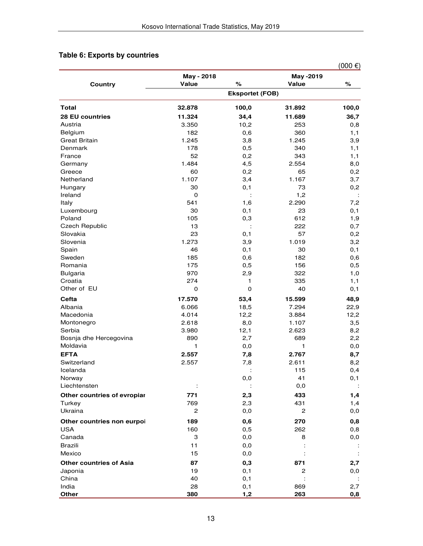## **Table 6: Exports by countries**

|                                    |                        |            |                    | $(000 \epsilon)$ |  |
|------------------------------------|------------------------|------------|--------------------|------------------|--|
| Country                            | May - 2018<br>Value    | %          | May -2019<br>Value | %                |  |
|                                    | <b>Eksportet (FOB)</b> |            |                    |                  |  |
| <b>Total</b>                       | 32.878                 | 100,0      | 31.892             | 100,0            |  |
| <b>28 EU countries</b>             | 11.324                 | 34,4       | 11.689             | 36,7             |  |
| Austria                            | 3.350                  | 10,2       | 253                | 0,8              |  |
| Belgium                            | 182                    | 0,6        | 360                | 1,1              |  |
| <b>Great Britain</b>               | 1.245                  | 3,8        | 1.245              | 3,9              |  |
| Denmark                            | 178                    | 0,5        | 340                | 1,1              |  |
| France                             | 52                     | 0,2        | 343                | 1,1              |  |
| Germany                            | 1.484                  | 4,5        | 2.554              | 8,0              |  |
| Greece                             | 60                     | 0,2        | 65                 | 0,2              |  |
| Netherland                         | 1.107                  | 3,4        | 1.167              | 3,7              |  |
| Hungary                            | 30                     | 0,1        | 73                 | 0,2              |  |
| Ireland                            | $\mathbf 0$            |            | 1,2                |                  |  |
| Italy                              | 541                    | 1,6        | 2.290              | 7,2              |  |
| Luxembourg                         | 30                     | 0,1        | 23                 | 0,1              |  |
| Poland                             | 105                    | 0,3        | 612                | 1,9              |  |
| <b>Czech Republic</b>              | 13                     |            | 222                | 0,7              |  |
| Slovakia                           | 23                     | 0, 1       | 57                 | 0,2              |  |
| Slovenia                           | 1.273                  | 3,9        | 1.019              | 3,2              |  |
| Spain                              | 46                     | 0,1        | 30                 | 0,1              |  |
| Sweden                             | 185                    | 0,6        | 182                | 0,6              |  |
| Romania                            | 175                    | 0,5        | 156                | 0,5              |  |
| <b>Bulgaria</b>                    | 970                    | 2,9        | 322                | 1,0              |  |
| Croatia<br>Other of EU             | 274<br>0               | 1<br>0     | 335<br>40          | 1,1              |  |
|                                    |                        |            |                    | 0,1              |  |
| Cefta                              | 17.570                 | 53,4       | 15.599             | 48,9             |  |
| Albania                            | 6.066                  | 18,5       | 7.294              | 22,9             |  |
| Macedonia                          | 4.014                  | 12,2       | 3.884              | 12,2             |  |
| Montonegro                         | 2.618                  | 8,0        | 1.107              | 3,5              |  |
| Serbia                             | 3.980                  | 12,1       | 2.623              | 8,2              |  |
| Bosnja dhe Hercegovina<br>Moldavia | 890<br>1               | 2,7        | 689<br>1           | 2,2              |  |
|                                    |                        | 0,0        |                    | $_{0,0}$         |  |
| <b>EFTA</b><br>Switzerland         | 2.557                  | 7,8        | 2.767              | 8,7              |  |
|                                    | 2.557                  | 7,8        | 2.611              | 8,2              |  |
| Icelanda<br>Norway                 |                        | 0,0        | 115<br>41          | 0,4<br>0,1       |  |
| Liechtensten                       |                        |            | 0,0                |                  |  |
| Other countries of evropiar        | 771                    | 2,3        | 433                | 1,4              |  |
| Turkey                             | 769                    | 2,3        | 431                | 1,4              |  |
| Ukraina                            | 2                      | 0,0        | 2                  | 0,0              |  |
|                                    |                        |            |                    |                  |  |
| Other countries non eurpoi         | 189                    | 0,6        | 270                | 0,8              |  |
| <b>USA</b>                         | 160                    | 0,5        | 262                | 0,8              |  |
| Canada                             | 3                      | 0,0        | 8                  | 0,0              |  |
| <b>Brazili</b>                     | 11                     | 0,0        |                    |                  |  |
| Mexico                             | 15                     | 0,0        |                    |                  |  |
| <b>Other countries of Asia</b>     | 87                     | 0,3        | 871                | 2,7              |  |
| Japonia<br>China                   | 19<br>40               | 0,1        | $\mathbf{2}$       | $_{0,0}$         |  |
| India                              | 28                     | 0,1<br>0,1 | 869                | 2,7              |  |
| Other                              | 380                    | 1,2        | 263                | 0,8              |  |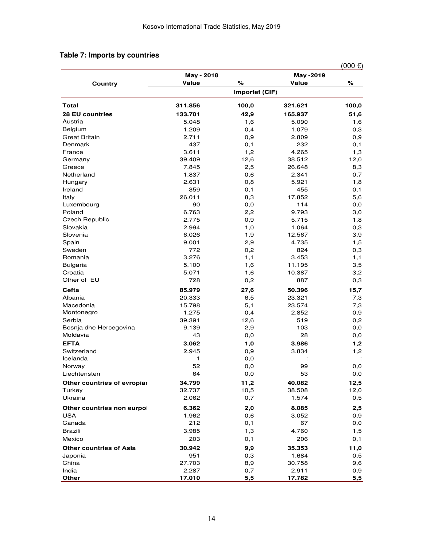|  |  |  |  | Table 7: Imports by countries |
|--|--|--|--|-------------------------------|
|--|--|--|--|-------------------------------|

|                                |                |       |           | $(000)$ €) |  |  |
|--------------------------------|----------------|-------|-----------|------------|--|--|
|                                | May - 2018     |       | May -2019 |            |  |  |
| <b>Country</b>                 | <b>Value</b>   | %     | Value     | $\%$       |  |  |
|                                | Importet (CIF) |       |           |            |  |  |
| <b>Total</b>                   | 311.856        | 100,0 | 321.621   | 100,0      |  |  |
| <b>28 EU countries</b>         | 133.701        | 42,9  | 165.937   | 51,6       |  |  |
| Austria                        | 5.048          | 1,6   | 5.090     | 1,6        |  |  |
| <b>Belgium</b>                 | 1.209          | 0,4   | 1.079     | 0,3        |  |  |
| <b>Great Britain</b>           | 2.711          | 0,9   | 2.809     | 0,9        |  |  |
| Denmark                        | 437            | 0,1   | 232       | 0,1        |  |  |
| France                         | 3.611          | 1,2   | 4.265     | 1,3        |  |  |
| Germany                        | 39.409         | 12,6  | 38.512    | 12,0       |  |  |
| Greece                         | 7.845          | 2,5   | 26.648    | 8,3        |  |  |
| Netherland                     | 1.837          | 0,6   | 2.341     | 0,7        |  |  |
| Hungary                        | 2.631          | 0,8   | 5.921     | 1,8        |  |  |
| Ireland                        | 359            | 0,1   | 455       | 0,1        |  |  |
| Italy                          | 26.011         | 8,3   | 17.852    | 5,6        |  |  |
| Luxembourg                     | 90             | 0,0   | 114       | 0,0        |  |  |
| Poland                         | 6.763          | 2,2   | 9.793     | 3,0        |  |  |
| <b>Czech Republic</b>          | 2.775          | 0,9   | 5.715     | 1,8        |  |  |
| Slovakia                       | 2.994          | 1,0   | 1.064     | 0,3        |  |  |
| Slovenia                       | 6.026          | 1,9   | 12.567    | 3,9        |  |  |
| Spain                          | 9.001          | 2,9   | 4.735     | 1,5        |  |  |
| Sweden                         | 772            | 0,2   | 824       | 0,3        |  |  |
| Romania                        | 3.276          | 1,1   | 3.453     | 1,1        |  |  |
| <b>Bulgaria</b>                | 5.100          | 1,6   | 11.195    | 3,5        |  |  |
| Croatia                        | 5.071          | 1,6   | 10.387    | 3,2        |  |  |
| Other of EU                    | 728            | 0,2   | 887       | 0,3        |  |  |
| Cefta                          | 85.979         | 27,6  | 50.396    | 15,7       |  |  |
| Albania                        | 20.333         | 6,5   | 23.321    | 7,3        |  |  |
| Macedonia                      | 15.798         | 5,1   | 23.574    | 7,3        |  |  |
| Montonegro                     | 1.275          | 0,4   | 2.852     | 0,9        |  |  |
| Serbia                         | 39.391         | 12,6  | 519       | 0,2        |  |  |
| Bosnja dhe Hercegovina         | 9.139          | 2,9   | 103       | 0, 0       |  |  |
| Moldavia                       | 43             | 0,0   | 28        | 0,0        |  |  |
| <b>EFTA</b>                    | 3.062          | 1,0   | 3.986     | 1,2        |  |  |
| Switzerland                    | 2.945          | 0,9   | 3.834     | 1,2        |  |  |
| Icelanda                       | 1              | 0,0   |           | ÷          |  |  |
| Norway                         | 52             | 0, 0  | 99        | 0, 0       |  |  |
| Liechtensten                   | 64             | 0,0   | 53        | 0,0        |  |  |
| Other countries of evropiar    | 34.799         | 11,2  | 40.082    | 12,5       |  |  |
| Turkey                         | 32.737         | 10,5  | 38.508    | 12,0       |  |  |
| Ukraina                        | 2.062          | 0,7   | 1.574     | 0,5        |  |  |
| Other countries non eurpoi     | 6.362          | 2,0   | 8.085     | 2,5        |  |  |
| <b>USA</b>                     | 1.962          | 0,6   | 3.052     | 0,9        |  |  |
| Canada                         | 212            | 0,1   | 67        | 0, 0       |  |  |
| <b>Brazili</b>                 | 3.985          | 1,3   | 4.760     | 1,5        |  |  |
| Mexico                         | 203            | 0,1   | 206       | 0,1        |  |  |
| <b>Other countries of Asia</b> | 30.942         | 9,9   | 35.353    | 11,0       |  |  |
| Japonia                        | 951            | 0,3   | 1.684     | 0,5        |  |  |
| China                          | 27.703         | 8,9   | 30.758    | 9,6        |  |  |
| India                          | 2.287          | 0,7   | 2.911     | 0,9        |  |  |
| Other                          | <u>17.010</u>  | 5,5   | 17.782    | 5,5        |  |  |